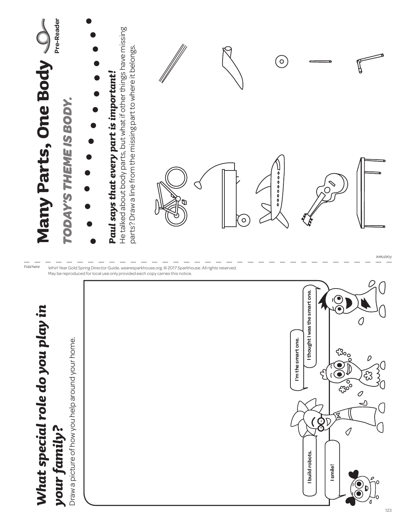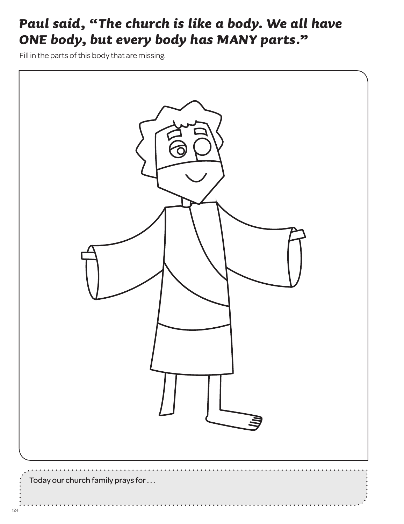## *Paul said, "The church is like a body. We all have ONE body, but every body has MANY parts."*

Fill in the parts of this body that are missing.

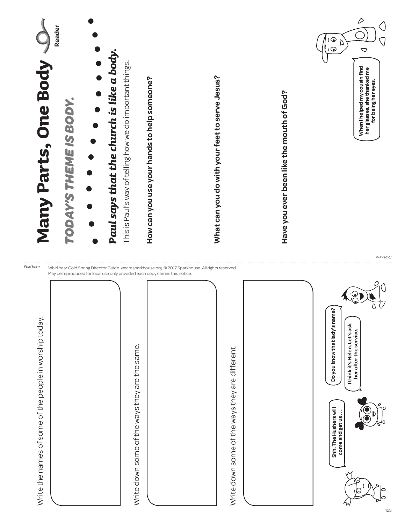